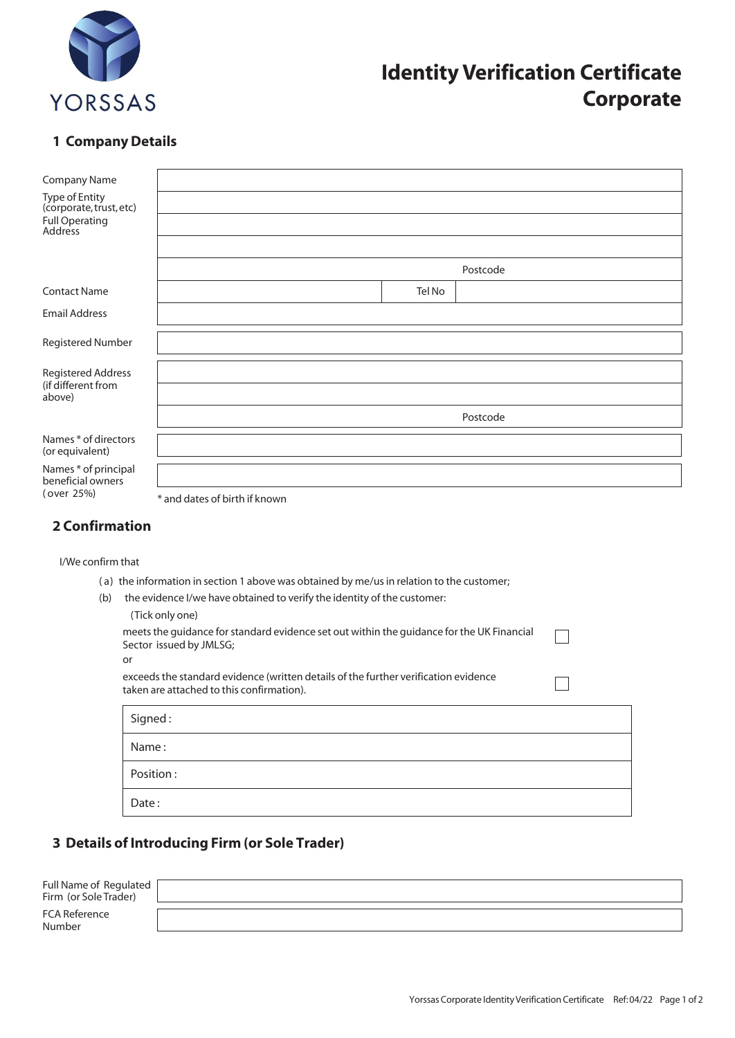

# **Identity Verification Certificate Corporate**

## **1 Company Details**

| <b>Company Name</b>                                       |                               |          |
|-----------------------------------------------------------|-------------------------------|----------|
| Type of Entity<br>(corporate, trust, etc)                 |                               |          |
| Full Operating<br>Address                                 |                               |          |
|                                                           |                               |          |
|                                                           |                               | Postcode |
| <b>Contact Name</b>                                       | Tel No                        |          |
| <b>Email Address</b>                                      |                               |          |
| Registered Number                                         |                               |          |
| <b>Registered Address</b><br>(if different from<br>above) |                               |          |
|                                                           |                               |          |
|                                                           |                               | Postcode |
| Names * of directors<br>(or equivalent)                   |                               |          |
| Names * of principal<br>beneficial owners<br>(over 25%)   |                               |          |
|                                                           | * and dates of birth if known |          |

#### **2 Confirmation**

I/We confirm that

- ( a) the information in section 1 above was obtained by me/us in relation to the customer;
- (b) the evidence I/we have obtained to verify the identity of the customer:

| (Tick only one)                                                                           |  |
|-------------------------------------------------------------------------------------------|--|
| meets the quidance for standard evidence set out within the guidance for the UK Financial |  |
| Sector issued by JMLSG;                                                                   |  |
| or                                                                                        |  |
| exceeds the standard evidence (written details of the further verification evidence       |  |
| taken are attached to this confirmation).                                                 |  |

| Signed:   |  |
|-----------|--|
| Name:     |  |
| Position: |  |
| Date:     |  |

## **3 Details of Introducing Firm (or Sole Trader)**

| Full Name of Regulated [<br>Firm (or Sole Trader) |  |
|---------------------------------------------------|--|
| <b>FCA Reference</b><br>Number                    |  |